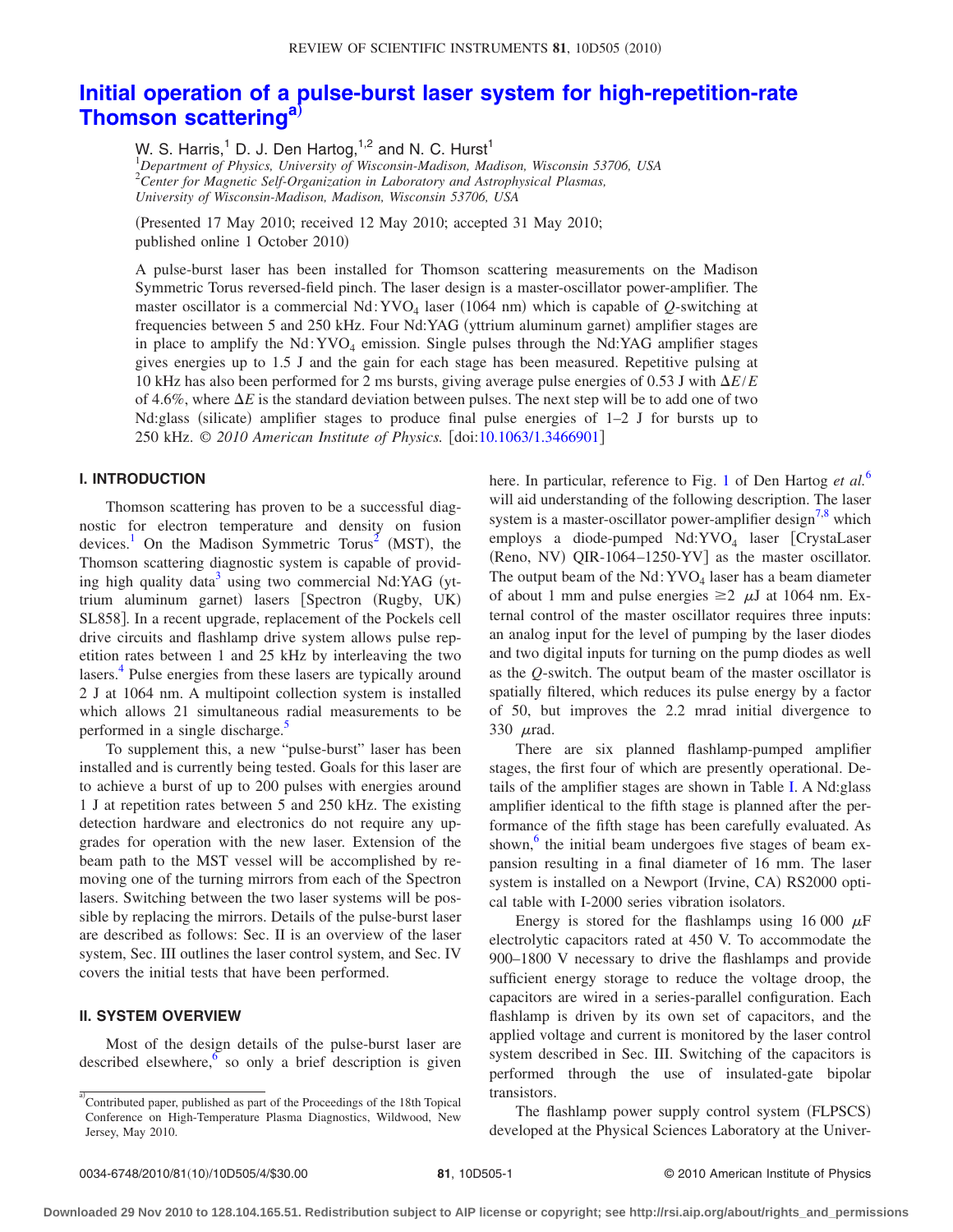# **[Initial operation of a pulse-burst laser system for high-repetition-rate](http://dx.doi.org/10.1063/1.3466901) [Thomson scattering](http://dx.doi.org/10.1063/1.3466901)[a](#page-0-0)**…

W. S. Harris,<sup>1</sup> D. J. Den Hartog,<sup>1,2</sup> and N. C. Hurst<sup>1</sup> 1 *Department of Physics, University of Wisconsin-Madison, Madison, Wisconsin 53706, USA* 2 *Center for Magnetic Self-Organization in Laboratory and Astrophysical Plasmas, University of Wisconsin-Madison, Madison, Wisconsin 53706, USA*

(Presented 17 May 2010; received 12 May 2010; accepted 31 May 2010; published online 1 October 2010

A pulse-burst laser has been installed for Thomson scattering measurements on the Madison Symmetric Torus reversed-field pinch. The laser design is a master-oscillator power-amplifier. The master oscillator is a commercial Nd: YVO<sub>4</sub> laser (1064 nm) which is capable of Q-switching at frequencies between 5 and 250 kHz. Four Nd:YAG (yttrium aluminum garnet) amplifier stages are in place to amplify the  $Nd:YVO<sub>4</sub>$  emission. Single pulses through the Nd:YAG amplifier stages gives energies up to 1.5 J and the gain for each stage has been measured. Repetitive pulsing at 10 kHz has also been performed for 2 ms bursts, giving average pulse energies of 0.53 J with -*E*/*E* of 4.6%, where  $\Delta E$  is the standard deviation between pulses. The next step will be to add one of two Nd:glass (silicate) amplifier stages to produce final pulse energies of 1-2 J for bursts up to 250 kHz. *© 2010 American Institute of Physics.* doi[:10.1063/1.3466901](http://dx.doi.org/10.1063/1.3466901)

# **I. INTRODUCTION**

Thomson scattering has proven to be a successful diagnostic for electron temperature and density on fusion devices.<sup>1</sup> On the Madison Symmetric Torus<sup>2</sup> (MST), the Thomson scattering diagnostic system is capable of providing high quality data<sup>3</sup> using two commercial Nd:YAG (yttrium aluminum garnet) lasers [Spectron (Rugby, UK) SL858. In a recent upgrade, replacement of the Pockels cell drive circuits and flashlamp drive system allows pulse repetition rates between 1 and 25 kHz by interleaving the two lasers.<sup>4</sup> Pulse energies from these lasers are typically around 2 J at 1064 nm. A multipoint collection system is installed which allows 21 simultaneous radial measurements to be performed in a single discharge.<sup>3</sup>

To supplement this, a new "pulse-burst" laser has been installed and is currently being tested. Goals for this laser are to achieve a burst of up to 200 pulses with energies around 1 J at repetition rates between 5 and 250 kHz. The existing detection hardware and electronics do not require any upgrades for operation with the new laser. Extension of the beam path to the MST vessel will be accomplished by removing one of the turning mirrors from each of the Spectron lasers. Switching between the two laser systems will be possible by replacing the mirrors. Details of the pulse-burst laser are described as follows: Sec. II is an overview of the laser system, Sec. III outlines the laser control system, and Sec. IV covers the initial tests that have been performed.

## **II. SYSTEM OVERVIEW**

Most of the design details of the pulse-burst laser are described elsewhere,  $\frac{6}{9}$  so only a brief description is given here. In particular, reference to Fig. [1](#page-1-0) of Den Hartog *et al.*[6](#page-3-5) will aid understanding of the following description. The laser system is a master-oscillator power-amplifier design<sup> $7,8$  $7,8$ </sup> which employs a diode-pumped Nd:YVO<sub>4</sub> laser [CrystaLaser (Reno, NV) QIR-1064-1250-YV] as the master oscillator. The output beam of the  $Nd:YVO<sub>4</sub>$  laser has a beam diameter of about 1 mm and pulse energies  $\geq 2$   $\mu$ J at 1064 nm. External control of the master oscillator requires three inputs: an analog input for the level of pumping by the laser diodes and two digital inputs for turning on the pump diodes as well as the *Q*-switch. The output beam of the master oscillator is spatially filtered, which reduces its pulse energy by a factor of 50, but improves the 2.2 mrad initial divergence to 330  $\mu$ rad.

There are six planned flashlamp-pumped amplifier stages, the first four of which are presently operational. Details of the amplifier stages are shown in Table [I.](#page-1-1) A Nd:glass amplifier identical to the fifth stage is planned after the performance of the fifth stage has been carefully evaluated. As shown, $6$  the initial beam undergoes five stages of beam expansion resulting in a final diameter of 16 mm. The laser system is installed on a Newport (Irvine, CA) RS2000 optical table with I-2000 series vibration isolators.

Energy is stored for the flashlamps using 16 000  $\mu$ F electrolytic capacitors rated at 450 V. To accommodate the 900–1800 V necessary to drive the flashlamps and provide sufficient energy storage to reduce the voltage droop, the capacitors are wired in a series-parallel configuration. Each flashlamp is driven by its own set of capacitors, and the applied voltage and current is monitored by the laser control system described in Sec. III. Switching of the capacitors is performed through the use of insulated-gate bipolar transistors.

The flashlamp power supply control system (FLPSCS) developed at the Physical Sciences Laboratory at the Univer-

<span id="page-0-0"></span>a)<br>Contributed paper, published as part of the Proceedings of the 18th Topical Conference on High-Temperature Plasma Diagnostics, Wildwood, New Jersey, May 2010.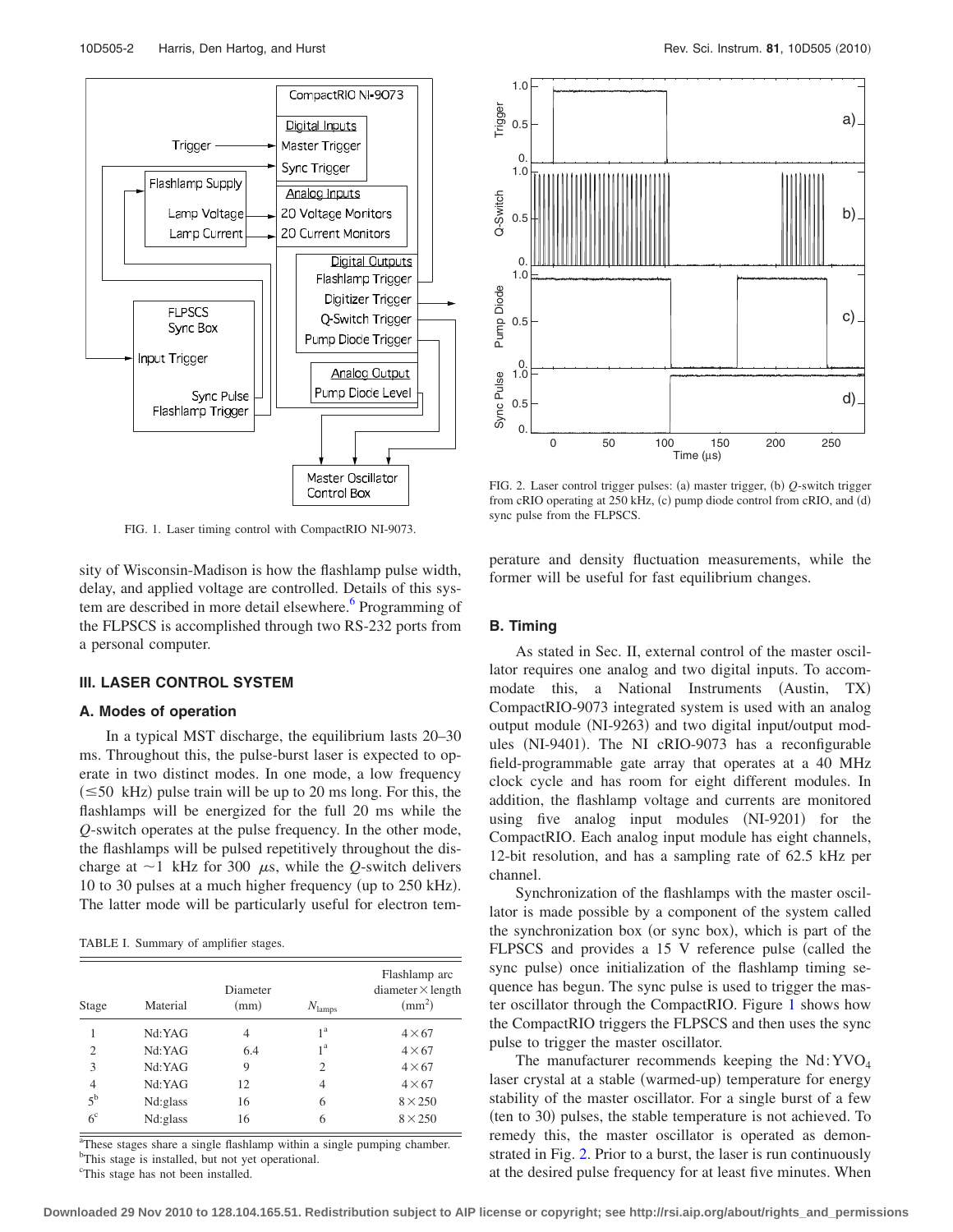<span id="page-1-0"></span>

FIG. 1. Laser timing control with CompactRIO NI-9073.

sity of Wisconsin-Madison is how the flashlamp pulse width, delay, and applied voltage are controlled. Details of this system are described in more detail elsewhere.<sup>6</sup> Programming of the FLPSCS is accomplished through two RS-232 ports from a personal computer.

### **III. LASER CONTROL SYSTEM**

#### **A. Modes of operation**

In a typical MST discharge, the equilibrium lasts 20–30 ms. Throughout this, the pulse-burst laser is expected to operate in two distinct modes. In one mode, a low frequency  $(\leq 50 \text{ kHz})$  pulse train will be up to 20 ms long. For this, the flashlamps will be energized for the full 20 ms while the *Q*-switch operates at the pulse frequency. In the other mode, the flashlamps will be pulsed repetitively throughout the discharge at  $\sim$ 1 kHz for 300  $\mu$ s, while the *Q*-switch delivers 10 to 30 pulses at a much higher frequency (up to 250 kHz). The latter mode will be particularly useful for electron tem-

<span id="page-1-1"></span>TABLE I. Summary of amplifier stages.

| Stage          | Material | Diameter<br>(mm) | $N_{\text{lamps}}$ | Flashlamp arc<br>diameter $\times$ length<br>$\rm (mm^2)$ |
|----------------|----------|------------------|--------------------|-----------------------------------------------------------|
|                | Nd:YAG   | 4                | 1 <sup>a</sup>     | $4\times 67$                                              |
| 2              | Nd:YAG   | 6.4              | 1 <sup>a</sup>     | $4\times 67$                                              |
| 3              | Nd:YAG   | 9                | 2                  | $4\times 67$                                              |
| $\overline{4}$ | Nd:YAG   | 12               | 4                  | $4\times 67$                                              |
| $5^{\rm b}$    | Nd:glass | 16               | 6                  | $8\times250$                                              |
| 6 <sup>c</sup> | Nd:glass | 16               | 6                  | $8\times250$                                              |

<sup>a</sup>These stages share a single flashlamp within a single pumping chamber. <sup>b</sup>This stage is installed, but not yet operational.

<sup>c</sup>This stage has not been installed.

<span id="page-1-2"></span>

FIG. 2. Laser control trigger pulses: (a) master trigger, (b) Q-switch trigger from cRIO operating at 250 kHz, (c) pump diode control from cRIO, and (d) sync pulse from the FLPSCS.

perature and density fluctuation measurements, while the former will be useful for fast equilibrium changes.

#### **B. Timing**

As stated in Sec. II, external control of the master oscillator requires one analog and two digital inputs. To accommodate this, a National Instruments (Austin, TX) CompactRIO-9073 integrated system is used with an analog output module (NI-9263) and two digital input/output modules (NI-9401). The NI cRIO-9073 has a reconfigurable field-programmable gate array that operates at a 40 MHz clock cycle and has room for eight different modules. In addition, the flashlamp voltage and currents are monitored using five analog input modules (NI-9201) for the CompactRIO. Each analog input module has eight channels, 12-bit resolution, and has a sampling rate of 62.5 kHz per channel.

Synchronization of the flashlamps with the master oscillator is made possible by a component of the system called the synchronization box (or sync box), which is part of the FLPSCS and provides a 15 V reference pulse (called the sync pulse) once initialization of the flashlamp timing sequence has begun. The sync pulse is used to trigger the master oscillator through the CompactRIO. Figure [1](#page-1-0) shows how the CompactRIO triggers the FLPSCS and then uses the sync pulse to trigger the master oscillator.

The manufacturer recommends keeping the  $Nd:YVO<sub>4</sub>$ laser crystal at a stable (warmed-up) temperature for energy stability of the master oscillator. For a single burst of a few (ten to 30) pulses, the stable temperature is not achieved. To remedy this, the master oscillator is operated as demonstrated in Fig. [2.](#page-1-2) Prior to a burst, the laser is run continuously at the desired pulse frequency for at least five minutes. When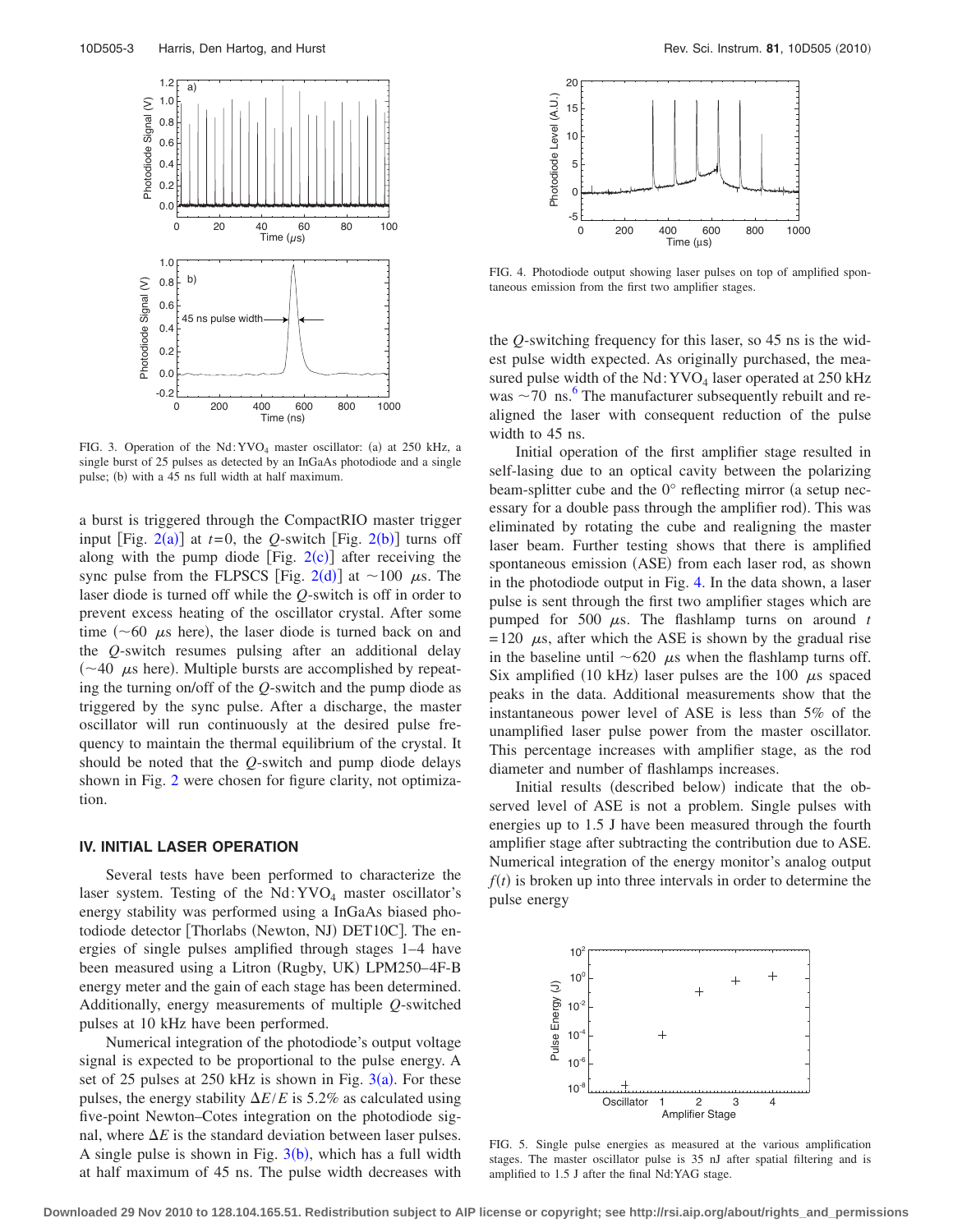<span id="page-2-0"></span>

FIG. 3. Operation of the Nd:  $\text{YVO}_4$  master oscillator: (a) at 250 kHz, a single burst of 25 pulses as detected by an InGaAs photodiode and a single pulse; (b) with a 45 ns full width at half maximum.

a burst is triggered through the CompactRIO master trigger input [Fig.  $2(a)$  $2(a)$ ] at  $t=0$ , the *Q*-switch [Fig.  $2(b)$ ] turns off along with the pump diode [Fig.  $2(c)$  $2(c)$ ] after receiving the sync pulse from the FLPSCS [Fig. [2](#page-1-2)(d)] at  $\sim$ 100  $\mu$ s. The laser diode is turned off while the *Q*-switch is off in order to prevent excess heating of the oscillator crystal. After some time ( $\sim$  60  $\mu$ s here), the laser diode is turned back on and the *Q*-switch resumes pulsing after an additional delay  $(\sim 40 \mu s$  here). Multiple bursts are accomplished by repeating the turning on/off of the *Q*-switch and the pump diode as triggered by the sync pulse. After a discharge, the master oscillator will run continuously at the desired pulse frequency to maintain the thermal equilibrium of the crystal. It should be noted that the *Q*-switch and pump diode delays shown in Fig. [2](#page-1-2) were chosen for figure clarity, not optimization.

## **IV. INITIAL LASER OPERATION**

Several tests have been performed to characterize the laser system. Testing of the  $Nd:YVO<sub>4</sub>$  master oscillator's energy stability was performed using a InGaAs biased photodiode detector [Thorlabs (Newton, NJ) DET10C]. The energies of single pulses amplified through stages 1–4 have been measured using a Litron (Rugby, UK) LPM250-4F-B energy meter and the gain of each stage has been determined. Additionally, energy measurements of multiple *Q*-switched pulses at 10 kHz have been performed.

Numerical integration of the photodiode's output voltage signal is expected to be proportional to the pulse energy. A set of 25 pulses at 250 kHz is shown in Fig.  $3(a)$  $3(a)$ . For these pulses, the energy stability  $\Delta E/E$  is 5.2% as calculated using five-point Newton–Cotes integration on the photodiode signal, where  $\Delta E$  is the standard deviation between laser pulses. A single pulse is shown in Fig.  $3(b)$  $3(b)$ , which has a full width at half maximum of 45 ns. The pulse width decreases with

<span id="page-2-1"></span>

FIG. 4. Photodiode output showing laser pulses on top of amplified spontaneous emission from the first two amplifier stages.

the *Q*-switching frequency for this laser, so 45 ns is the widest pulse width expected. As originally purchased, the measured pulse width of the  $Nd:YVO<sub>4</sub>$  laser operated at 250 kHz was  $\sim$  70 ns.<sup>6</sup> The manufacturer subsequently rebuilt and realigned the laser with consequent reduction of the pulse width to 45 ns.

Initial operation of the first amplifier stage resulted in self-lasing due to an optical cavity between the polarizing beam-splitter cube and the  $0^{\circ}$  reflecting mirror (a setup necessary for a double pass through the amplifier rod. This was eliminated by rotating the cube and realigning the master laser beam. Further testing shows that there is amplified spontaneous emission (ASE) from each laser rod, as shown in the photodiode output in Fig. [4.](#page-2-1) In the data shown, a laser pulse is sent through the first two amplifier stages which are pumped for 500  $\mu$ s. The flashlamp turns on around *t*  $= 120 \mu s$ , after which the ASE is shown by the gradual rise in the baseline until  $\sim 620$   $\mu$ s when the flashlamp turns off. Six amplified (10 kHz) laser pulses are the 100  $\mu$ s spaced peaks in the data. Additional measurements show that the instantaneous power level of ASE is less than 5% of the unamplified laser pulse power from the master oscillator. This percentage increases with amplifier stage, as the rod diameter and number of flashlamps increases.

Initial results (described below) indicate that the observed level of ASE is not a problem. Single pulses with energies up to 1.5 J have been measured through the fourth amplifier stage after subtracting the contribution due to ASE. Numerical integration of the energy monitor's analog output  $f(t)$  is broken up into three intervals in order to determine the pulse energy

<span id="page-2-2"></span>

FIG. 5. Single pulse energies as measured at the various amplification stages. The master oscillator pulse is 35 nJ after spatial filtering and is amplified to 1.5 J after the final Nd:YAG stage.